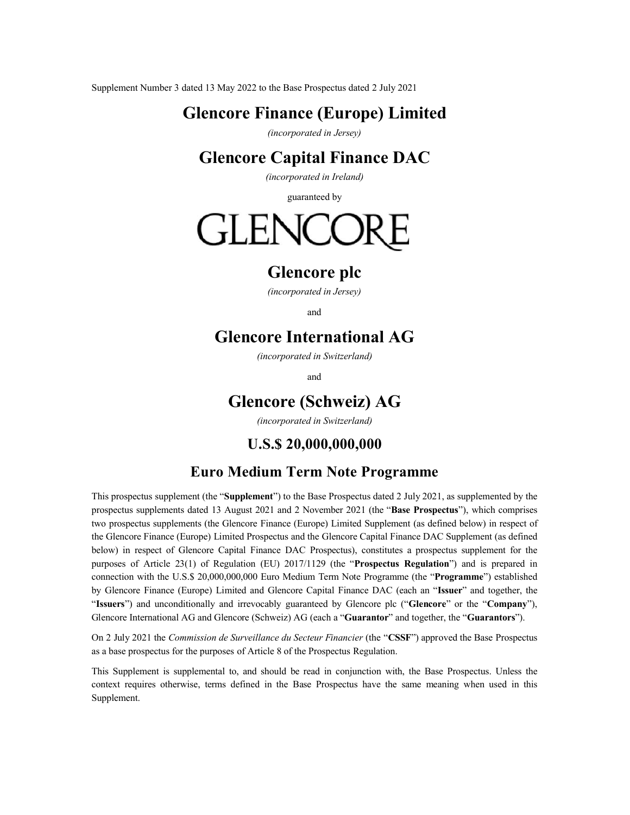Supplement Number 3 dated 13 May 2022 to the Base Prospectus dated 2 July 2021

# **Glencore Finance (Europe) Limited**

*(incorporated in Jersey)* 

# **Glencore Capital Finance DAC**

*(incorporated in Ireland)*

guaranteed by



# **Glencore plc**

*(incorporated in Jersey)*

and

# **Glencore International AG**

*(incorporated in Switzerland)*

and

# **Glencore (Schweiz) AG**

*(incorporated in Switzerland)*

# **U.S.\$ 20,000,000,000**

# **Euro Medium Term Note Programme**

This prospectus supplement (the "**Supplement**") to the Base Prospectus dated 2 July 2021, as supplemented by the prospectus supplements dated 13 August 2021 and 2 November 2021 (the "**Base Prospectus**"), which comprises two prospectus supplements (the Glencore Finance (Europe) Limited Supplement (as defined below) in respect of the Glencore Finance (Europe) Limited Prospectus and the Glencore Capital Finance DAC Supplement (as defined below) in respect of Glencore Capital Finance DAC Prospectus), constitutes a prospectus supplement for the purposes of Article 23(1) of Regulation (EU) 2017/1129 (the "**Prospectus Regulation**") and is prepared in connection with the U.S.\$ 20,000,000,000 Euro Medium Term Note Programme (the "**Programme**") established by Glencore Finance (Europe) Limited and Glencore Capital Finance DAC (each an "**Issuer**" and together, the "Issuers") and unconditionally and irrevocably guaranteed by Glencore plc ("Glencore" or the "Company"), Glencore International AG and Glencore (Schweiz) AG (each a "**Guarantor**" and together, the "**Guarantors**").

On 2 July 2021 the *Commission de Surveillance du Secteur Financier* (the "**CSSF**") approved the Base Prospectus as a base prospectus for the purposes of Article 8 of the Prospectus Regulation.

This Supplement is supplemental to, and should be read in conjunction with, the Base Prospectus. Unless the context requires otherwise, terms defined in the Base Prospectus have the same meaning when used in this Supplement.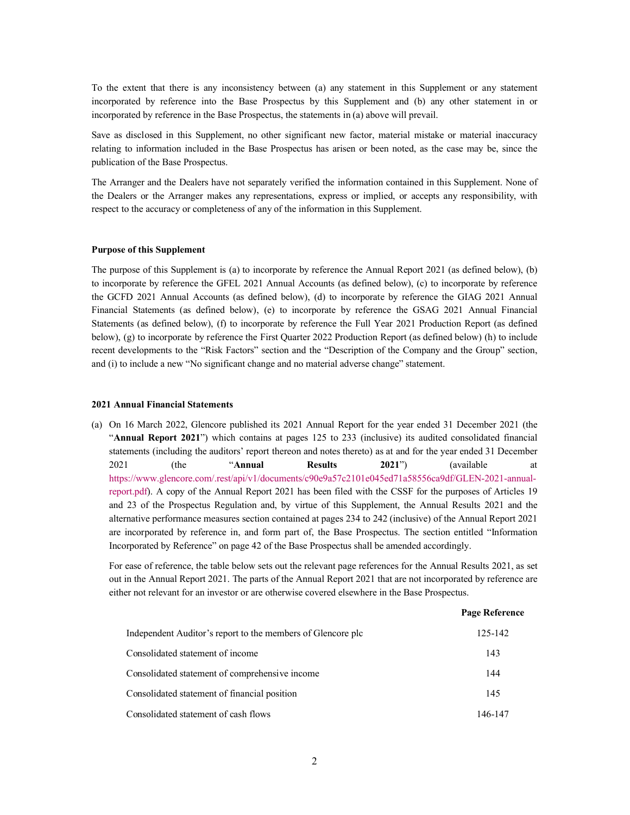To the extent that there is any inconsistency between (a) any statement in this Supplement or any statement incorporated by reference into the Base Prospectus by this Supplement and (b) any other statement in or incorporated by reference in the Base Prospectus, the statements in (a) above will prevail.

Save as disclosed in this Supplement, no other significant new factor, material mistake or material inaccuracy relating to information included in the Base Prospectus has arisen or been noted, as the case may be, since the publication of the Base Prospectus.

The Arranger and the Dealers have not separately verified the information contained in this Supplement. None of the Dealers or the Arranger makes any representations, express or implied, or accepts any responsibility, with respect to the accuracy or completeness of any of the information in this Supplement.

# **Purpose of this Supplement**

The purpose of this Supplement is (a) to incorporate by reference the Annual Report 2021 (as defined below), (b) to incorporate by reference the GFEL 2021 Annual Accounts (as defined below), (c) to incorporate by reference the GCFD 2021 Annual Accounts (as defined below), (d) to incorporate by reference the GIAG 2021 Annual Financial Statements (as defined below), (e) to incorporate by reference the GSAG 2021 Annual Financial Statements (as defined below), (f) to incorporate by reference the Full Year 2021 Production Report (as defined below), (g) to incorporate by reference the First Quarter 2022 Production Report (as defined below) (h) to include recent developments to the "Risk Factors" section and the "Description of the Company and the Group" section, and (i) to include a new "No significant change and no material adverse change" statement.

#### **2021 Annual Financial Statements**

(a) On 16 March 2022, Glencore published its 2021 Annual Report for the year ended 31 December 2021 (the "**Annual Report 2021**") which contains at pages 125 to 233 (inclusive) its audited consolidated financial [statements \(including the auditors' report thereon and notes thereto\)](https://www.glencore.com/.rest/api/v1/documents/c90e9a57c2101e045ed71a58556ca9df/GLEN-2021-annual-report.pdf) as at and for the year ended 31 December 2021 (the "**Annual Results 2021**") (available at [https:](https://www.glencore.com/.rest/api/v1/documents/c90e9a57c2101e045ed71a58556ca9df/GLEN-2021-annual-report.pdf)//www.glencore.com/.rest/api/v1/documents/c90e9a57c2101e045ed71a58556ca9df/GLEN-2021-annualreport.pdf). A copy of the Annual Report 2021 has been filed with the CSSF for the purposes of Articles 19 and 23 of the Prospectus Regulation and, by virtue of this Supplement, the Annual Results 2021 and the alternative performance measures section contained at pages 234 to 242 (inclusive) of the Annual Report 2021 are incorporated by reference in, and form part of, the Base Prospectus. The section entitled "Information Incorporated by Reference" on page 42 of the Base Prospectus shall be amended accordingly.

For ease of reference, the table below sets out the relevant page references for the Annual Results 2021, as set out in the Annual Report 2021. The parts of the Annual Report 2021 that are not incorporated by reference are either not relevant for an investor or are otherwise covered elsewhere in the Base Prospectus.

|                                                             | <b>Page Reference</b> |
|-------------------------------------------------------------|-----------------------|
| Independent Auditor's report to the members of Glencore plc | 125-142               |
| Consolidated statement of income                            | 143                   |
| Consolidated statement of comprehensive income              | 144                   |
| Consolidated statement of financial position                | 145                   |
| Consolidated statement of cash flows                        | 146-147               |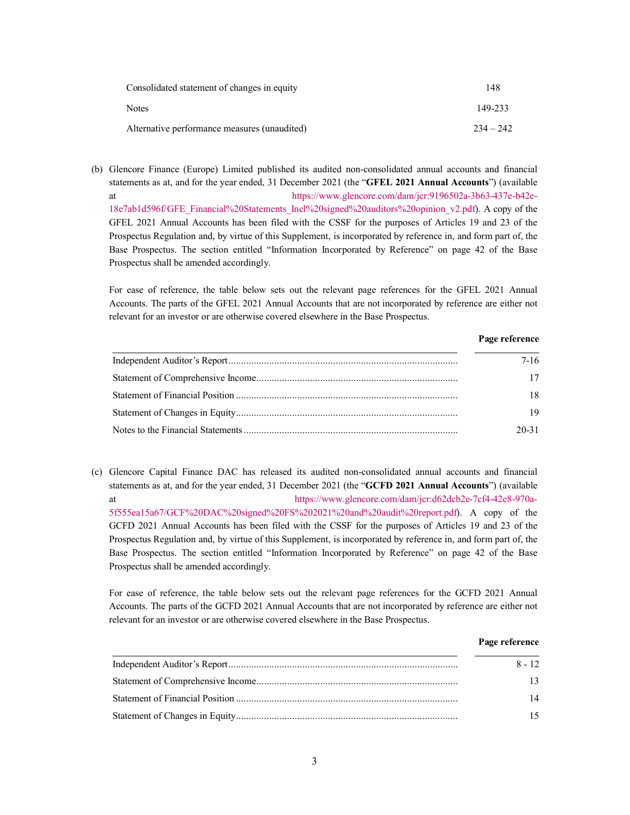| Consolidated statement of changes in equity  | 148         |
|----------------------------------------------|-------------|
| <b>Notes</b>                                 | 149-233     |
| Alternative performance measures (unaudited) | $234 - 242$ |

(b) [Glencore Finance \(Europe\) Limited published its audited non-consolidated annual accounts and financial](https://www.glencore.com/dam/jcr:9196502a-3b63-437e-b42e-18e7ab1d596f/GFE_Financial%20Statements_Incl%20signed%20auditors%20opinion_v2.pdf)  statements as at, and for the year ended, 31 December 2021 (the "**GFEL 2021 Annual Accounts**") (available at https://www.glencore.com/dam/jcr:9196502a-3b63-437e-b42e-18e7ab1d596f/GFE\_Financial%20Statements\_Incl%20signed%20auditors%20opinion\_v2.pdf). A copy of the GFEL 2021 Annual Accounts has been filed with the CSSF for the purposes of Articles 19 and 23 of the Prospectus Regulation and, by virtue of this Supplement, is incorporated by reference in, and form part of, the Base Prospectus. The section entitled "Information Incorporated by Reference" on page 42 of the Base Prospectus shall be amended accordingly.

For ease of reference, the table below sets out the relevant page references for the GFEL 2021 Annual Accounts. The parts of the GFEL 2021 Annual Accounts that are not incorporated by reference are either not relevant for an investor or are otherwise covered elsewhere in the Base Prospectus.

# **Page reference**

| $7-16$    |
|-----------|
| 17        |
| 18        |
| 19        |
| $20 - 31$ |

(c) Glencore Capital Finance DAC has relea[sed its audited non-consolidated annual accounts and financial](https://www.glencore.com/dam/jcr:d62dcb2e-7cf4-42e8-970a-5f555ea15a67/GCF%20DAC%20signed%20FS%202021%20and%20audit%20report.pdf)  statements as at, and for the year ended, 31 December 2021 (the "**GCFD 2021 Annual Accounts**") (available [at https://www.glencore.com/dam/jcr:d62dcb](https://www.glencore.com/dam/jcr:d62dcb2e-7cf4-42e8-970a-5f555ea15a67/GCF%20DAC%20signed%20FS%202021%20and%20audit%20report.pdf)2e-7cf4-42e8-970a-5f555ea15a67/GCF%20DAC%20signed%20FS%202021%20and%20audit%20report.pdf). A copy of the GCFD 2021 Annual Accounts has been filed with the CSSF for the purposes of Articles 19 and 23 of the Prospectus Regulation and, by virtue of this Supplement, is incorporated by reference in, and form part of, the Base Prospectus. The section entitled "Information Incorporated by Reference" on page 42 of the Base Prospectus shall be amended accordingly.

For ease of reference, the table below sets out the relevant page references for the GCFD 2021 Annual Accounts. The parts of the GCFD 2021 Annual Accounts that are not incorporated by reference are either not relevant for an investor or are otherwise covered elsewhere in the Base Prospectus.

# **Page reference**

| $8 - 12$ |
|----------|
| 13       |
| 14       |
| 15.      |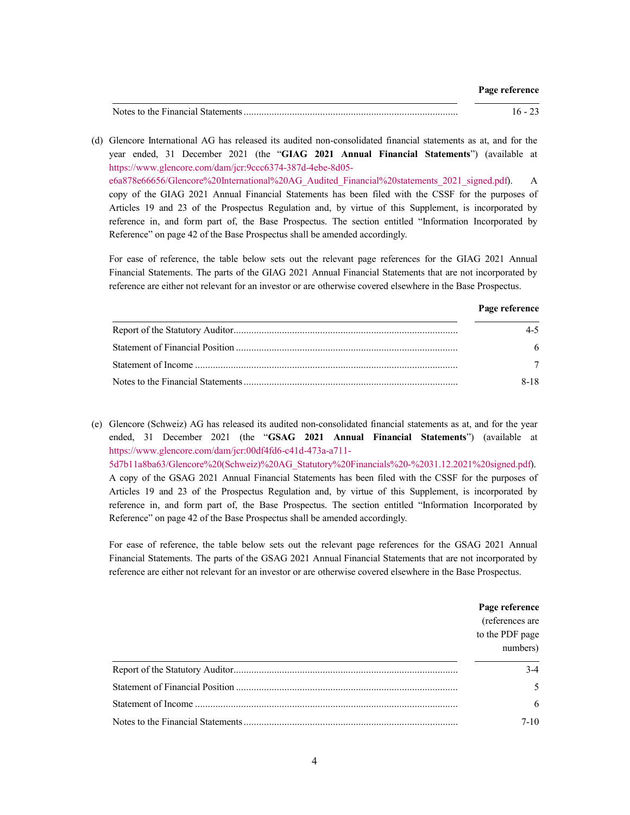Notes to the Financial Statements........................................................................................ 16 - 23

(d) [Glencore International AG has released its audited non-consolidated financial statements as at, and f](https://www.glencore.com/dam/jcr:9ccc6374-387d-4ebe-8d05-e6a878e66656/Glencore%20International%20AG_Audited_Financial%20statements_2021_signed.pdf)or the year ended, 31 December 2021 (the "**GIAG 2021 Annual Financial Statements**") (available at https://www.glencore.com/dam/jcr:9ccc6374-387d-4ebe-8d05 e6a878e66656/Glencore%20International%20AG\_Audited\_Financial%20statements\_2021\_signed.pdf). A copy of the GIAG 2021 Annual Financial Statements has been filed with the CSSF for the purposes of Articles 19 and 23 of the Prospectus Regulation and, by virtue of this Supplement, is incorporated by reference in, and form part of, the Base Prospectus. The section entitled "Information Incorporated by Reference" on page 42 of the Base Prospectus shall be amended accordingly.

For ease of reference, the table below sets out the relevant page references for the GIAG 2021 Annual Financial Statements. The parts of the GIAG 2021 Annual Financial Statements that are not incorporated by reference are either not relevant for an investor or are otherwise covered elsewhere in the Base Prospectus.

#### **Page reference**

| $4 - 5$ |
|---------|
| 6       |
|         |
| 8-18    |

(e) [Glencore \(Schweiz\) AG has released its audited non-consolidated financial statements as at, and for the year](https://www.glencore.com/dam/jcr:00df4fd6-c41d-473a-a711-5d7b11a8ba63/Glencore%20(Schweiz)%20AG_Statutory%20Financials%20-%2031.12.2021%20signed.pdf)  ended, 31 December 2021 (the "**GSAG 2021 Annual Financial Statements**") (available at [https://www.glencore.com/dam/jcr:00df4fd6-c41d-473a-a711-](https://www.glencore.com/dam/jcr:00df4fd6-c41d-473a-a711-5d7b11a8ba63/Glencore%20(Schweiz)%20AG_Statutory%20Financials%20-%2031.12.2021%20signed.pdf) 5d7b11a8ba63/Glencore%20(Schweiz)%20AG\_Statutory%20Financials%20-%2031.12.2021%20signed.pdf). A copy of the GSAG 2021 Annual Financial Statements has been filed with the CSSF for the purposes of Articles 19 and 23 of the Prospectus Regulation and, by virtue of this Supplement, is incorporated by reference in, and form part of, the Base Prospectus. The section entitled "Information Incorporated by Reference" on page 42 of the Base Prospectus shall be amended accordingly.

For ease of reference, the table below sets out the relevant page references for the GSAG 2021 Annual Financial Statements. The parts of the GSAG 2021 Annual Financial Statements that are not incorporated by reference are either not relevant for an investor or are otherwise covered elsewhere in the Base Prospectus.

| Page reference<br>(references are<br>to the PDF page<br>numbers) |
|------------------------------------------------------------------|
| $3-4$                                                            |
|                                                                  |
| 6                                                                |
| 7-10                                                             |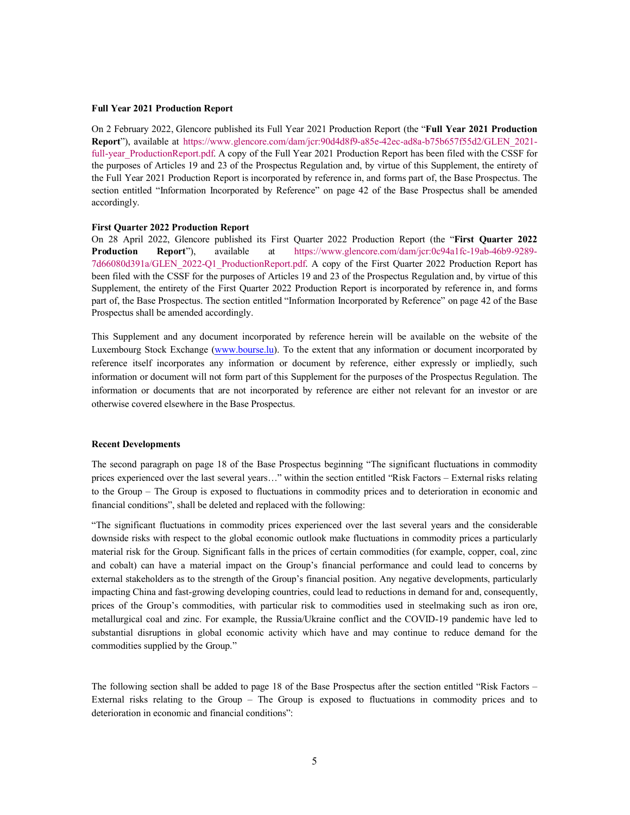## **Full Year 2021 [Production Report](https://www.glencore.com/dam/jcr:90d4d8f9-a85e-42ec-ad8a-b75b657f55d2/GLEN_2021-full-year_ProductionReport.pdf)**

On 2 February 2022, Glencore published its Full Year 2021 Production Report (the "**Full Year 2021 Production**  Report"), available at https://www.glencore.com/dam/jcr:90d4d8f9-a85e-42ec-ad8a-b75b657f55d2/GLEN\_2021full-year ProductionReport.pdf. A copy of the Full Year 2021 Production Report has been filed with the CSSF for the purposes of Articles 19 and 23 of the Prospectus Regulation and, by virtue of this Supplement, the entirety of the Full Year 2021 Production Report is incorporated by reference in, and forms part of, the Base Prospectus. The section entitled "Information Incorporated by Reference" on page 42 of the Base Prospectus shall be amended accordingly.

### **[First Quarter 2022 Production Report](https://www.glencore.com/dam/jcr:0c94a1fc-19ab-46b9-9289-7d66080d391a/GLEN_2022-Q1_ProductionReport.pdf)**

On 28 April 2022, Glencore published its First Quarter 2022 Production Report (the "**First Quarter 2022 Production Report**"), available at https://www.glencore.com/dam/jcr:0c94a1fc-19ab-46b9-9289- 7d66080d391a/GLEN\_2022-Q1\_ProductionReport.pdf. A copy of the First Quarter 2022 Production Report has been filed with the CSSF for the purposes of Articles 19 and 23 of the Prospectus Regulation and, by virtue of this Supplement, the entirety of the First Quarter 2022 Production Report is incorporated by reference in, and forms part of, the Base Prospectus. The section entitled "Information Incorporated by Reference" on page 42 of the Base Prospectus shall be amend[ed accordingly.](http://www.bourse.lu/)

This Supplement and any document incorporated by reference herein will be available on the website of the Luxembourg Stock Exchange (www.bourse.lu). To the extent that any information or document incorporated by reference itself incorporates any information or document by reference, either expressly or impliedly, such information or document will not form part of this Supplement for the purposes of the Prospectus Regulation. The information or documents that are not incorporated by reference are either not relevant for an investor or are otherwise covered elsewhere in the Base Prospectus.

#### **Recent Developments**

The second paragraph on page 18 of the Base Prospectus beginning "The significant fluctuations in commodity prices experienced over the last several years…" within the section entitled "Risk Factors – External risks relating to the Group – The Group is exposed to fluctuations in commodity prices and to deterioration in economic and financial conditions", shall be deleted and replaced with the following:

"The significant fluctuations in commodity prices experienced over the last several years and the considerable downside risks with respect to the global economic outlook make fluctuations in commodity prices a particularly material risk for the Group. Significant falls in the prices of certain commodities (for example, copper, coal, zinc and cobalt) can have a material impact on the Group's financial performance and could lead to concerns by external stakeholders as to the strength of the Group's financial position. Any negative developments, particularly impacting China and fast-growing developing countries, could lead to reductions in demand for and, consequently, prices of the Group's commodities, with particular risk to commodities used in steelmaking such as iron ore, metallurgical coal and zinc. For example, the Russia/Ukraine conflict and the COVID-19 pandemic have led to substantial disruptions in global economic activity which have and may continue to reduce demand for the commodities supplied by the Group."

The following section shall be added to page 18 of the Base Prospectus after the section entitled "Risk Factors – External risks relating to the Group – The Group is exposed to fluctuations in commodity prices and to deterioration in economic and financial conditions":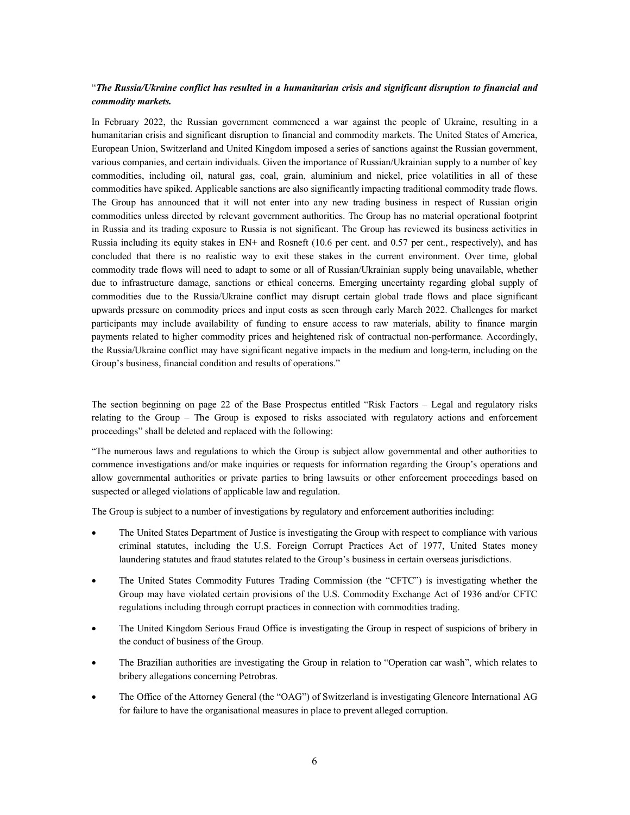# "*The Russia/Ukraine conflict has resulted in a humanitarian crisis and significant disruption to financial and commodity markets.*

In February 2022, the Russian government commenced a war against the people of Ukraine, resulting in a humanitarian crisis and significant disruption to financial and commodity markets. The United States of America, European Union, Switzerland and United Kingdom imposed a series of sanctions against the Russian government, various companies, and certain individuals. Given the importance of Russian/Ukrainian supply to a number of key commodities, including oil, natural gas, coal, grain, aluminium and nickel, price volatilities in all of these commodities have spiked. Applicable sanctions are also significantly impacting traditional commodity trade flows. The Group has announced that it will not enter into any new trading business in respect of Russian origin commodities unless directed by relevant government authorities. The Group has no material operational footprint in Russia and its trading exposure to Russia is not significant. The Group has reviewed its business activities in Russia including its equity stakes in EN+ and Rosneft (10.6 per cent. and 0.57 per cent., respectively), and has concluded that there is no realistic way to exit these stakes in the current environment. Over time, global commodity trade flows will need to adapt to some or all of Russian/Ukrainian supply being unavailable, whether due to infrastructure damage, sanctions or ethical concerns. Emerging uncertainty regarding global supply of commodities due to the Russia/Ukraine conflict may disrupt certain global trade flows and place significant upwards pressure on commodity prices and input costs as seen through early March 2022. Challenges for market participants may include availability of funding to ensure access to raw materials, ability to finance margin payments related to higher commodity prices and heightened risk of contractual non-performance. Accordingly, the Russia/Ukraine conflict may have significant negative impacts in the medium and long-term, including on the Group's business, financial condition and results of operations."

The section beginning on page 22 of the Base Prospectus entitled "Risk Factors – Legal and regulatory risks relating to the Group – The Group is exposed to risks associated with regulatory actions and enforcement proceedings" shall be deleted and replaced with the following:

"The numerous laws and regulations to which the Group is subject allow governmental and other authorities to commence investigations and/or make inquiries or requests for information regarding the Group's operations and allow governmental authorities or private parties to bring lawsuits or other enforcement proceedings based on suspected or alleged violations of applicable law and regulation.

The Group is subject to a number of investigations by regulatory and enforcement authorities including:

- The United States Department of Justice is investigating the Group with respect to compliance with various criminal statutes, including the U.S. Foreign Corrupt Practices Act of 1977, United States money laundering statutes and fraud statutes related to the Group's business in certain overseas jurisdictions.
- The United States Commodity Futures Trading Commission (the "CFTC") is investigating whether the Group may have violated certain provisions of the U.S. Commodity Exchange Act of 1936 and/or CFTC regulations including through corrupt practices in connection with commodities trading.
- The United Kingdom Serious Fraud Office is investigating the Group in respect of suspicions of bribery in the conduct of business of the Group.
- The Brazilian authorities are investigating the Group in relation to "Operation car wash", which relates to bribery allegations concerning Petrobras.
- The Office of the Attorney General (the "OAG") of Switzerland is investigating Glencore International AG for failure to have the organisational measures in place to prevent alleged corruption.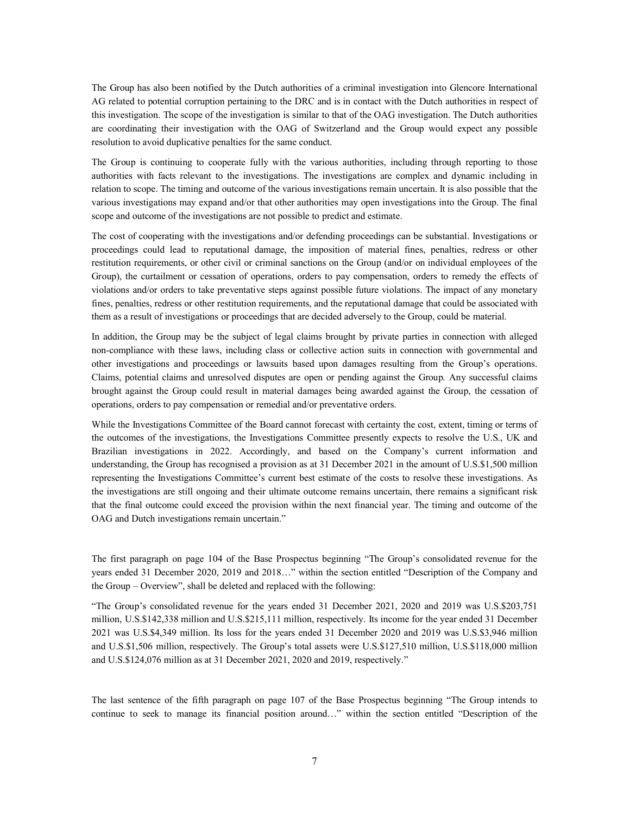The Group has also been notified by the Dutch authorities of a criminal investigation into Glencore International AG related to potential corruption pertaining to the DRC and is in contact with the Dutch authorities in respect of this investigation. The scope of the investigation is similar to that of the OAG investigation. The Dutch authorities are coordinating their investigation with the OAG of Switzerland and the Group would expect any possible resolution to avoid duplicative penalties for the same conduct.

The Group is continuing to cooperate fully with the various authorities, including through reporting to those authorities with facts relevant to the investigations. The investigations are complex and dynamic including in relation to scope. The timing and outcome of the various investigations remain uncertain. It is also possible that the various investigations may expand and/or that other authorities may open investigations into the Group. The final scope and outcome of the investigations are not possible to predict and estimate.

The cost of cooperating with the investigations and/or defending proceedings can be substantial. Investigations or proceedings could lead to reputational damage, the imposition of material fines, penalties, redress or other restitution requirements, or other civil or criminal sanctions on the Group (and/or on individual employees of the Group), the curtailment or cessation of operations, orders to pay compensation, orders to remedy the effects of violations and/or orders to take preventative steps against possible future violations. The impact of any monetary fines, penalties, redress or other restitution requirements, and the reputational damage that could be associated with them as a result of investigations or proceedings that are decided adversely to the Group, could be material.

In addition, the Group may be the subject of legal claims brought by private parties in connection with alleged non-compliance with these laws, including class or collective action suits in connection with governmental and other investigations and proceedings or lawsuits based upon damages resulting from the Group's operations. Claims, potential claims and unresolved disputes are open or pending against the Group. Any successful claims brought against the Group could result in material damages being awarded against the Group, the cessation of operations, orders to pay compensation or remedial and/or preventative orders.

While the Investigations Committee of the Board cannot forecast with certainty the cost, extent, timing or terms of the outcomes of the investigations, the Investigations Committee presently expects to resolve the U.S., UK and Brazilian investigations in 2022. Accordingly, and based on the Company's current information and understanding, the Group has recognised a provision as at 31 December 2021 in the amount of U.S.\$1,500 million representing the Investigations Committee's current best estimate of the costs to resolve these investigations. As the investigations are still ongoing and their ultimate outcome remains uncertain, there remains a significant risk that the final outcome could exceed the provision within the next financial year. The timing and outcome of the OAG and Dutch investigations remain uncertain."

The first paragraph on page 104 of the Base Prospectus beginning "The Group's consolidated revenue for the years ended 31 December 2020, 2019 and 2018…" within the section entitled "Description of the Company and the Group – Overview", shall be deleted and replaced with the following:

"The Group's consolidated revenue for the years ended 31 December 2021, 2020 and 2019 was U.S.\$203,751 million, U.S.\$142,338 million and U.S.\$215,111 million, respectively. Its income for the year ended 31 December 2021 was U.S.\$4,349 million. Its loss for the years ended 31 December 2020 and 2019 was U.S.\$3,946 million and U.S.\$1,506 million, respectively. The Group's total assets were U.S.\$127,510 million, U.S.\$118,000 million and U.S.\$124,076 million as at 31 December 2021, 2020 and 2019, respectively."

The last sentence of the fifth paragraph on page 107 of the Base Prospectus beginning "The Group intends to continue to seek to manage its financial position around…" within the section entitled "Description of the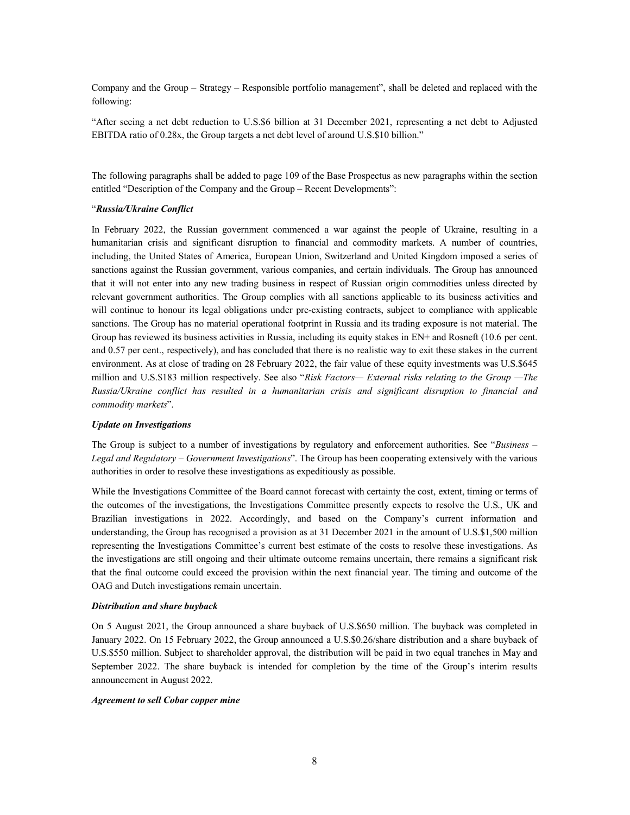Company and the Group – Strategy – Responsible portfolio management", shall be deleted and replaced with the following:

"After seeing a net debt reduction to U.S.\$6 billion at 31 December 2021, representing a net debt to Adjusted EBITDA ratio of 0.28x, the Group targets a net debt level of around U.S.\$10 billion."

The following paragraphs shall be added to page 109 of the Base Prospectus as new paragraphs within the section entitled "Description of the Company and the Group – Recent Developments":

## "*Russia/Ukraine Conflict*

In February 2022, the Russian government commenced a war against the people of Ukraine, resulting in a humanitarian crisis and significant disruption to financial and commodity markets. A number of countries, including, the United States of America, European Union, Switzerland and United Kingdom imposed a series of sanctions against the Russian government, various companies, and certain individuals. The Group has announced that it will not enter into any new trading business in respect of Russian origin commodities unless directed by relevant government authorities. The Group complies with all sanctions applicable to its business activities and will continue to honour its legal obligations under pre-existing contracts, subject to compliance with applicable sanctions. The Group has no material operational footprint in Russia and its trading exposure is not material. The Group has reviewed its business activities in Russia, including its equity stakes in EN+ and Rosneft (10.6 per cent. and 0.57 per cent., respectively), and has concluded that there is no realistic way to exit these stakes in the current environment. As at close of trading on 28 February 2022, the fair value of these equity investments was U.S.\$645 million and U.S.\$183 million respectively. See also "*Risk Factors— External risks relating to the Group —The Russia/Ukraine conflict has resulted in a humanitarian crisis and significant disruption to financial and commodity markets*".

# *Update on Investigations*

The Group is subject to a number of investigations by regulatory and enforcement authorities. See "*Business – Legal and Regulatory – Government Investigations*". The Group has been cooperating extensively with the various authorities in order to resolve these investigations as expeditiously as possible.

While the Investigations Committee of the Board cannot forecast with certainty the cost, extent, timing or terms of the outcomes of the investigations, the Investigations Committee presently expects to resolve the U.S., UK and Brazilian investigations in 2022. Accordingly, and based on the Company's current information and understanding, the Group has recognised a provision as at 31 December 2021 in the amount of U.S.\$1,500 million representing the Investigations Committee's current best estimate of the costs to resolve these investigations. As the investigations are still ongoing and their ultimate outcome remains uncertain, there remains a significant risk that the final outcome could exceed the provision within the next financial year. The timing and outcome of the OAG and Dutch investigations remain uncertain.

#### *Distribution and share buyback*

On 5 August 2021, the Group announced a share buyback of U.S.\$650 million. The buyback was completed in January 2022. On 15 February 2022, the Group announced a U.S.\$0.26/share distribution and a share buyback of U.S.\$550 million. Subject to shareholder approval, the distribution will be paid in two equal tranches in May and September 2022. The share buyback is intended for completion by the time of the Group's interim results announcement in August 2022.

### *Agreement to sell Cobar copper mine*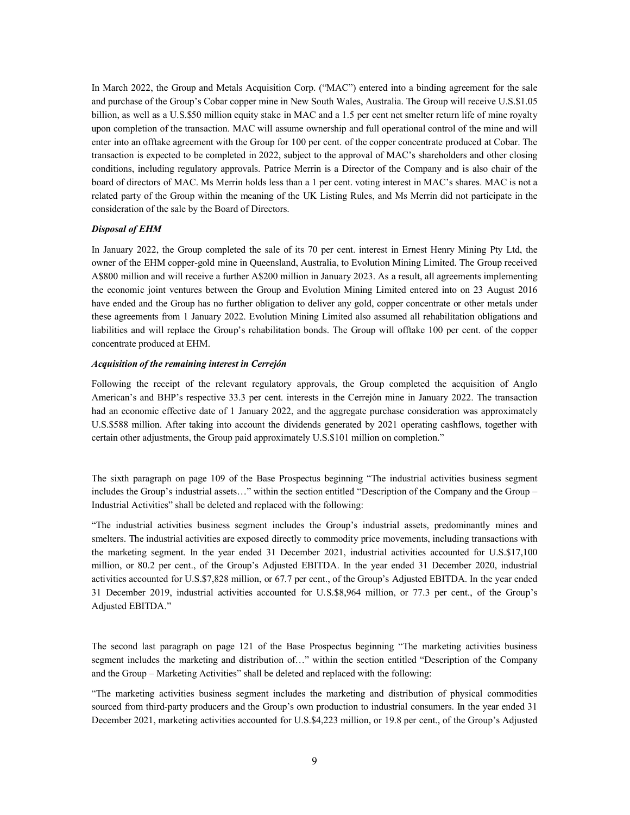In March 2022, the Group and Metals Acquisition Corp. ("MAC") entered into a binding agreement for the sale and purchase of the Group's Cobar copper mine in New South Wales, Australia. The Group will receive U.S.\$1.05 billion, as well as a U.S.\$50 million equity stake in MAC and a 1.5 per cent net smelter return life of mine royalty upon completion of the transaction. MAC will assume ownership and full operational control of the mine and will enter into an offtake agreement with the Group for 100 per cent. of the copper concentrate produced at Cobar. The transaction is expected to be completed in 2022, subject to the approval of MAC's shareholders and other closing conditions, including regulatory approvals. Patrice Merrin is a Director of the Company and is also chair of the board of directors of MAC. Ms Merrin holds less than a 1 per cent. voting interest in MAC's shares. MAC is not a related party of the Group within the meaning of the UK Listing Rules, and Ms Merrin did not participate in the consideration of the sale by the Board of Directors.

# *Disposal of EHM*

In January 2022, the Group completed the sale of its 70 per cent. interest in Ernest Henry Mining Pty Ltd, the owner of the EHM copper-gold mine in Queensland, Australia, to Evolution Mining Limited. The Group received A\$800 million and will receive a further A\$200 million in January 2023. As a result, all agreements implementing the economic joint ventures between the Group and Evolution Mining Limited entered into on 23 August 2016 have ended and the Group has no further obligation to deliver any gold, copper concentrate or other metals under these agreements from 1 January 2022. Evolution Mining Limited also assumed all rehabilitation obligations and liabilities and will replace the Group's rehabilitation bonds. The Group will offtake 100 per cent. of the copper concentrate produced at EHM.

### *Acquisition of the remaining interest in Cerrejón*

Following the receipt of the relevant regulatory approvals, the Group completed the acquisition of Anglo American's and BHP's respective 33.3 per cent. interests in the Cerrejón mine in January 2022. The transaction had an economic effective date of 1 January 2022, and the aggregate purchase consideration was approximately U.S.\$588 million. After taking into account the dividends generated by 2021 operating cashflows, together with certain other adjustments, the Group paid approximately U.S.\$101 million on completion."

The sixth paragraph on page 109 of the Base Prospectus beginning "The industrial activities business segment includes the Group's industrial assets…" within the section entitled "Description of the Company and the Group – Industrial Activities" shall be deleted and replaced with the following:

"The industrial activities business segment includes the Group's industrial assets, predominantly mines and smelters. The industrial activities are exposed directly to commodity price movements, including transactions with the marketing segment. In the year ended 31 December 2021, industrial activities accounted for U.S.\$17,100 million, or 80.2 per cent., of the Group's Adjusted EBITDA. In the year ended 31 December 2020, industrial activities accounted for U.S.\$7,828 million, or 67.7 per cent., of the Group's Adjusted EBITDA. In the year ended 31 December 2019, industrial activities accounted for U.S.\$8,964 million, or 77.3 per cent., of the Group's Adjusted EBITDA."

The second last paragraph on page 121 of the Base Prospectus beginning "The marketing activities business segment includes the marketing and distribution of…" within the section entitled "Description of the Company and the Group – Marketing Activities" shall be deleted and replaced with the following:

"The marketing activities business segment includes the marketing and distribution of physical commodities sourced from third-party producers and the Group's own production to industrial consumers. In the year ended 31 December 2021, marketing activities accounted for U.S.\$4,223 million, or 19.8 per cent., of the Group's Adjusted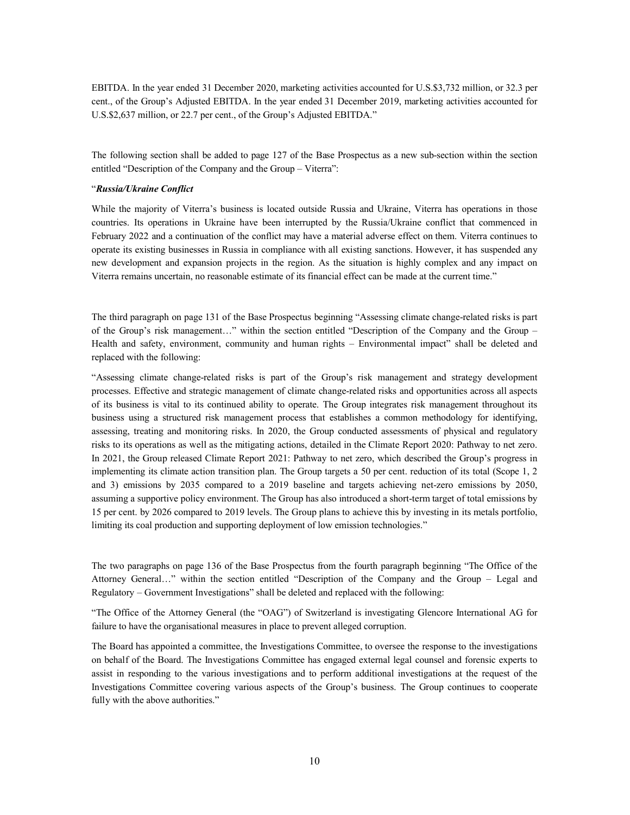EBITDA. In the year ended 31 December 2020, marketing activities accounted for U.S.\$3,732 million, or 32.3 per cent., of the Group's Adjusted EBITDA. In the year ended 31 December 2019, marketing activities accounted for U.S.\$2,637 million, or 22.7 per cent., of the Group's Adjusted EBITDA."

The following section shall be added to page 127 of the Base Prospectus as a new sub-section within the section entitled "Description of the Company and the Group – Viterra":

## "*Russia/Ukraine Conflict*

While the majority of Viterra's business is located outside Russia and Ukraine, Viterra has operations in those countries. Its operations in Ukraine have been interrupted by the Russia/Ukraine conflict that commenced in February 2022 and a continuation of the conflict may have a material adverse effect on them. Viterra continues to operate its existing businesses in Russia in compliance with all existing sanctions. However, it has suspended any new development and expansion projects in the region. As the situation is highly complex and any impact on Viterra remains uncertain, no reasonable estimate of its financial effect can be made at the current time."

The third paragraph on page 131 of the Base Prospectus beginning "Assessing climate change-related risks is part of the Group's risk management…" within the section entitled "Description of the Company and the Group – Health and safety, environment, community and human rights – Environmental impact" shall be deleted and replaced with the following:

"Assessing climate change-related risks is part of the Group's risk management and strategy development processes. Effective and strategic management of climate change-related risks and opportunities across all aspects of its business is vital to its continued ability to operate. The Group integrates risk management throughout its business using a structured risk management process that establishes a common methodology for identifying, assessing, treating and monitoring risks. In 2020, the Group conducted assessments of physical and regulatory risks to its operations as well as the mitigating actions, detailed in the Climate Report 2020: Pathway to net zero. In 2021, the Group released Climate Report 2021: Pathway to net zero, which described the Group's progress in implementing its climate action transition plan. The Group targets a 50 per cent. reduction of its total (Scope 1, 2 and 3) emissions by 2035 compared to a 2019 baseline and targets achieving net-zero emissions by 2050, assuming a supportive policy environment. The Group has also introduced a short-term target of total emissions by 15 per cent. by 2026 compared to 2019 levels. The Group plans to achieve this by investing in its metals portfolio, limiting its coal production and supporting deployment of low emission technologies."

The two paragraphs on page 136 of the Base Prospectus from the fourth paragraph beginning "The Office of the Attorney General…" within the section entitled "Description of the Company and the Group – Legal and Regulatory – Government Investigations" shall be deleted and replaced with the following:

"The Office of the Attorney General (the "OAG") of Switzerland is investigating Glencore International AG for failure to have the organisational measures in place to prevent alleged corruption.

The Board has appointed a committee, the Investigations Committee, to oversee the response to the investigations on behalf of the Board. The Investigations Committee has engaged external legal counsel and forensic experts to assist in responding to the various investigations and to perform additional investigations at the request of the Investigations Committee covering various aspects of the Group's business. The Group continues to cooperate fully with the above authorities."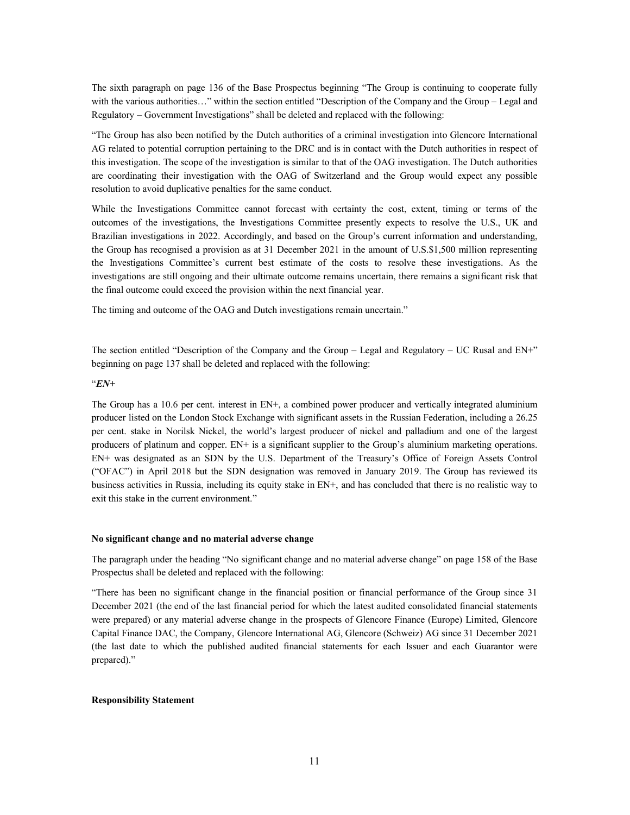The sixth paragraph on page 136 of the Base Prospectus beginning "The Group is continuing to cooperate fully with the various authorities..." within the section entitled "Description of the Company and the Group – Legal and Regulatory – Government Investigations" shall be deleted and replaced with the following:

"The Group has also been notified by the Dutch authorities of a criminal investigation into Glencore International AG related to potential corruption pertaining to the DRC and is in contact with the Dutch authorities in respect of this investigation. The scope of the investigation is similar to that of the OAG investigation. The Dutch authorities are coordinating their investigation with the OAG of Switzerland and the Group would expect any possible resolution to avoid duplicative penalties for the same conduct.

While the Investigations Committee cannot forecast with certainty the cost, extent, timing or terms of the outcomes of the investigations, the Investigations Committee presently expects to resolve the U.S., UK and Brazilian investigations in 2022. Accordingly, and based on the Group's current information and understanding, the Group has recognised a provision as at 31 December 2021 in the amount of U.S.\$1,500 million representing the Investigations Committee's current best estimate of the costs to resolve these investigations. As the investigations are still ongoing and their ultimate outcome remains uncertain, there remains a significant risk that the final outcome could exceed the provision within the next financial year.

The timing and outcome of the OAG and Dutch investigations remain uncertain."

The section entitled "Description of the Company and the Group – Legal and Regulatory – UC Rusal and EN+" beginning on page 137 shall be deleted and replaced with the following:

## "*EN+*

The Group has a 10.6 per cent. interest in EN+, a combined power producer and vertically integrated aluminium producer listed on the London Stock Exchange with significant assets in the Russian Federation, including a 26.25 per cent. stake in Norilsk Nickel, the world's largest producer of nickel and palladium and one of the largest producers of platinum and copper. EN+ is a significant supplier to the Group's aluminium marketing operations. EN+ was designated as an SDN by the U.S. Department of the Treasury's Office of Foreign Assets Control ("OFAC") in April 2018 but the SDN designation was removed in January 2019. The Group has reviewed its business activities in Russia, including its equity stake in EN+, and has concluded that there is no realistic way to exit this stake in the current environment."

### **No significant change and no material adverse change**

The paragraph under the heading "No significant change and no material adverse change" on page 158 of the Base Prospectus shall be deleted and replaced with the following:

"There has been no significant change in the financial position or financial performance of the Group since 31 December 2021 (the end of the last financial period for which the latest audited consolidated financial statements were prepared) or any material adverse change in the prospects of Glencore Finance (Europe) Limited, Glencore Capital Finance DAC, the Company, Glencore International AG, Glencore (Schweiz) AG since 31 December 2021 (the last date to which the published audited financial statements for each Issuer and each Guarantor were prepared)."

## **Responsibility Statement**